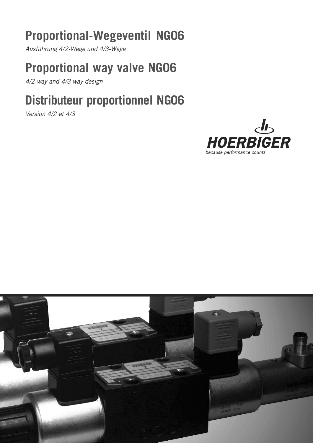# **Proportional-Wegeventil NG06**

Ausführung 4/2-Wege und 4/3-Wege

## **Proportional way valve NG06**

4/2 way and 4/3 way design

# **Distributeur proportionnel NG06**

Version 4/2 et 4/3



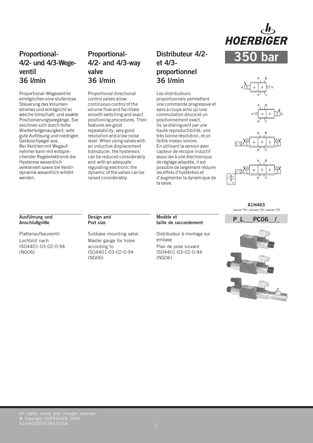

## **Proportional-4/2- und 4/3-Wegeventil 36 l/min**

Proportional-Wegeventile ermöglichen eine stufenlose Steuerung des Volumenstromes und ermöglicht so weiche Umschalt- und exakte Positionierungsvorgänge. Sie zeichnen sich durch hohe Wiederholgenauigkeit, sehr gute Auflösung und niedrigen Geräuschpegel aus. Bei Ventilen mit Wegaufnehmer kann mit entsprechender Regelelektronik die Hysterese wesentlich verkleinert sowie die Ventildynamik wesentlich erhöht werden.

### **Proportional-4/2- and 4/3-way valve 36 l/min**

Proportional directional control valves allow continuous control of the volume flow and facilitate smooth switching and exact positioning procedures. Their features are good repeatability, very good resolution and a low noise level. When using valves with an inductive displacement transducer, the hysteresis can be reduced considerably and with an adequate regulating electronic the dynamic of the valves can be raised considerably.

## **Distributeur 4/2 et 4/3 proportionnel 36 l/min**

Les distributeurs proportionnels permettent une commande progressive et sans à coups ainsi qu'une commutation douce et un positionnement exact. Ils se distinguent par une haute reproductibilité, une très bonne résolution, et un faible niveau sonore. En utilisant la version avec capteur de recopie inductif associée à une électronique de réglage adaptée, il est possible de largement réduire les effets d'hystérésis et d'augmenter la dynamique de la valve.



P T

 $\overline{A}$ B





**A1H463** Januar '09 / January '09 / Janvier '09

#### **Ausführung und Anschlußgröße**

Plattenaufbauventil Lochbild nach ISO4401-03-02-0-94 (NG06)

#### **Design and Port size**

Subbase mounting valve Master gauge for holes according to ISO4401-03-02-0-94 (NG06)

Distributeur à montage sur embase Plan de pose suivant ISO4401-03-02-0-94 (NG06)

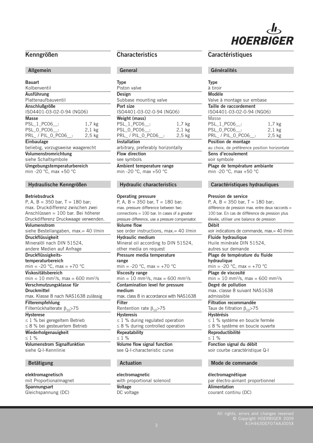# **HOERBIGER**

#### **Kenngrößen**

#### **Allgemein**

| <b>Bauart</b>                               |          |
|---------------------------------------------|----------|
| Kolbenventil                                |          |
| Ausführung                                  |          |
| Plattenaufbauventil                         |          |
| Anschlußgröße                               |          |
| ISO4401-03-02-0-94 (NG06)                   |          |
| <b>Masse</b>                                |          |
| PSL_1_PC06 :                                | $1,7$ kg |
| PSL 0 PC06 :                                | $2.1$ kg |
| PRL_/PIL_0_PC06__:                          | $2,5$ kg |
| <b>Einbaulage</b>                           |          |
| beliebig, vorzugsweise waagerecht           |          |
| Volumenstromrichtung<br>siehe Schaltsymbole |          |
|                                             |          |

**Umgebungstemperaturbereich** min -20 °C, max +50 °C

#### **Hydraulische Kenngrößen**

#### **Betriebsdruck**

| P, A, B = 350 bar, T = 180 bar;                             |
|-------------------------------------------------------------|
| max. Druckdifferenz zwischen zwei                           |
| Anschlüssen = 100 bar. Bei höherer                          |
| Druckdifferenz Druckwaage verwenden.                        |
| Volumenstrom                                                |
| siehe Bestellangaben, max.= 40 l/min                        |
| <b>Druckflüssigkeit</b>                                     |
| Mineralöl nach DIN 51524,                                   |
| andere Medien auf Anfrage                                   |
| Druckflüssigkeits-                                          |
| temperaturbereich                                           |
| min = -20 °C, max = +70 °C                                  |
| Viskositätsbereich                                          |
| $min = 10$ mm <sup>2</sup> /s, max = 600 mm <sup>2</sup> /s |
| Verschmutzungsklasse für                                    |
|                                                             |
| Druckmittel                                                 |
| max. Klasse 8 nach NAS1638 zulässig                         |
| <b>Filterempfehlung</b>                                     |
| Filterrückhalterate $\beta_{10}$ >75                        |
| <b>Hysterese</b>                                            |
| $\leq$ 1 % bei geregeltem Betrieb                           |
| $\leq$ 8 % bei gesteuertem Betrieb                          |
| Wiederholgenauigkeit                                        |
| $\leq 1$ %                                                  |
| <b>Volumenstrom Signalfunktion</b>                          |
| siehe Q-I-Kennlinie                                         |

#### **elektromagnetisch**

mit Proportionalmagnet **Spannungsart** Gleichspannung (DC)

#### **Characteristics**

#### **General**

| <b>Type</b>                        |                   |
|------------------------------------|-------------------|
| Piston valve                       |                   |
| Design                             |                   |
| Subbase mounting valve             |                   |
| Port size                          |                   |
| ISO4401-03-02-0-94 (NG06)          |                   |
| Weight (mass)                      |                   |
| PSL_1_PC06 :                       | 1,7 kg            |
| PSL 0 PC06 :                       | $2,1$ kg          |
| PRL_/PIL_0_PC06_:                  | 2.5 <sub>kg</sub> |
| Installation                       |                   |
| arbitrary, preferably horizontally |                   |
| <b>Flow direction</b>              |                   |
| see symbols                        |                   |
| Ambient temperature range          |                   |

min -20 °C, max +50 °C

#### **Hydraulic characteristics**

#### **Operating pressure**

P, A,  $B = 350$  bar, T = 180 bar; max. pressure difference between two connections = 100 bar. In cases of a greater pressure difference, use a pressure compensator. **Volume flow** see order instructions, max.= 40 l/min **Hydraulic medium** Mineral oil according to DIN 51524, other media on request **Pressure media temperature range** min =  $-20$  °C, max =  $+70$  °C **Viscosity range**  $min = 10$  mm<sup>2</sup>/s, max = 600 mm<sup>2</sup>/s **Contamination level for pressure medium** max. class 8 in accordance with NAS1638 **Filter** Rentention rate  $\beta_{10}$ >75 **Hysteresis**  $\leq 1$  % during regulated operation  $\leq$  8 % during controlled operation **Repeatability**  $< 1 %$ **Volume flow signal function** see Q-I-characteristic curve

#### **Actuation**

**electromagnetic** with proportional solenoid **Voltage** DC voltage

#### **Caractéristiques**

#### **Généralités**

| <b>Type</b><br>à tiroir                                     |                                |
|-------------------------------------------------------------|--------------------------------|
| Modèle                                                      |                                |
| Valve à montage sur embase                                  |                                |
| Taille de raccordement<br>ISO4401-03-02-0-94 (NG06)         |                                |
| Masse<br>PSL 1 PC06 :<br>PSL 0 PC06 :<br>PRL / PIL 0 PC06 : | 1,7 kg<br>$2,1$ kg<br>$2,5$ kg |
| Position de montage                                         |                                |

au choix, de préférence position horizontale

#### **Sens d'ecoulement** voir symbole

**Plage de température ambiante** min -20 °C, max +50 °C

#### **Caractéristiques hydrauliques**

#### **Pression de service**

P, A,  $B = 350$  bar,  $T = 180$  bar; différence de pression max. entre deux raccords = 100 bar. En cas de différence de pression plus élevée, utiliser une balance de pression

**Débit** voir indications de commande, max.= 40 l/min **Fluide hydraulique**

Huile minérale DIN 51524, autres sur demande

#### **Plage de température du fluide**

**hydraulique**

min = -20  $^{\circ}$ C, max = +70  $^{\circ}$ C **Plage de viscosité**

 $min = 10$  mm<sup>2</sup>/s, max = 600 mm<sup>2</sup>/s

**Degré de pollution** max. classe 8 suivant NAS1638 admissible

**Filtration recommandée**

Taux de filtration  $\beta_{10}$ >75 **Hystérésis**

 $\leq$  1 % système en boucle fermée ≤ 8 % système en boucle ouverte

**Reproductibilité**

 $< 1 %$ 

**Fonction signal du débit** voir courbe caractéristique Q-I

#### **Mode de commande**

**électromagnétique** par électro-aimant proportionnel **Alimentation** courant continu (DC)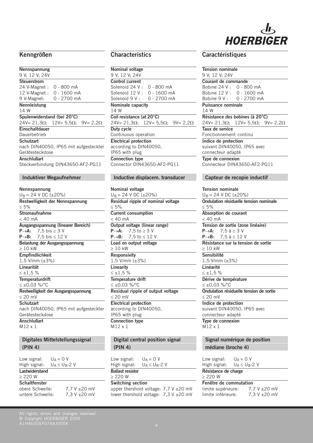

| Nennspannung                             |                                       |
|------------------------------------------|---------------------------------------|
| 9 V: 12 V: 24V                           |                                       |
| Steuerstrom                              |                                       |
| 24 V-Magnet:                             | $0 - 800$ mA                          |
| 12 V-Magnet :                            | 0 - 1600 mA                           |
| 9 V-Magnet:                              | 0 - 2700 mA                           |
| Nennleistung                             |                                       |
| 14 W                                     |                                       |
| Spulenwiderstand (bei 20°C)              |                                       |
| $24V = 21,3\Omega$ ; $12V = 5,5\Omega$ ; | $9V = 2,2\Omega$                      |
| Einschaltdauer                           |                                       |
| Dauerbetrieb                             |                                       |
| <b>Schutzart</b>                         |                                       |
|                                          | nach DIN40050, IP65 mit aufgesteckter |
| Gerätesteckdose                          |                                       |
| Anschlußart                              |                                       |
|                                          | Steckverbindung DIN43650-AF2-PG11     |

#### **Induktiver Wegaufnehmer**

## **Nennspannung**

| $U_B = 24$ V DC (±20%)                                |
|-------------------------------------------------------|
| Restwelligkeit der Nennspannung                       |
| $\leq 5\%$                                            |
| <b>Stromaufnahme</b>                                  |
| $<$ 40 mA                                             |
| Ausgangsspannung (linearer Bereich)                   |
| <b>P</b> $\rightarrow$ <b>A:</b> 7,5 bis $\geq$ 3 V   |
| <b>P</b> $\rightarrow$ <b>B</b> : 7.5 bis $\leq$ 12 V |
| Belastung der Ausgangsspannung                        |
| $>10$ kW                                              |
| <b>Empfindlichkeit</b>                                |
| 1,5 V/mm $(\pm 3\%)$                                  |
| I inearität                                           |
| $\leq \pm 1,5$ %                                      |
| <b>Temperaturdrift</b>                                |
| ≤ ±0,03 %/°C                                          |
| Restwelligkeit der Ausgangsspannung                   |
| $< 20$ mV                                             |
| <b>Schutzart</b>                                      |
| nach DIN40050, IP65 mit aufgesteckter                 |
| Gerätesteckdose                                       |
| Anschlußart                                           |
| M12 x 1                                               |
|                                                       |
| <b>Digitales Mittelstellungssignal</b>                |
|                                                       |

| (PIN 4)        |                                          |  |  |
|----------------|------------------------------------------|--|--|
| المصورة منتمرا | $\mathbf{11}$ $\mathbf{0}$ $\mathbf{11}$ |  |  |

| Low signal:          | $U_A = 0 V$ |                    |              |
|----------------------|-------------|--------------------|--------------|
| High signal:         |             | $U_A \le U_B - 2V$ |              |
| Lastwiderstand       |             |                    |              |
| ≥ 220 W              |             |                    |              |
| <b>Schaltfenster</b> |             |                    |              |
| obere Schwelle:      |             |                    | 7,7 V ±20 mV |
| untere Schwelle:     |             |                    | 7,3 V ±20 mV |
|                      |             |                    |              |

| Nominal voltage                                           |
|-----------------------------------------------------------|
| 9 V: 12 V: 24V                                            |
| <b>Control current</b>                                    |
| Solenoid 24 V: 0 - 800 mA                                 |
| Solenoid 12 V: 0 - 1600 mA                                |
| Solenoid 9 V: 0 - 2700 mA                                 |
| Nominale capacity                                         |
| 14 W                                                      |
| Coil resistance (at 20°C)                                 |
| $24V = 21,3\Omega$ ; $12V = 5,5\Omega$ ; $9V = 2,2\Omega$ |
| Duty cycle                                                |
| Continuous operation                                      |
| <b>Electrical protection</b>                              |
| according to DIN40050,                                    |
| IP65 with plug                                            |
| <b>Connection type</b>                                    |
| Connector DIN43650-AF2-PG11                               |

#### **Inductive displacem. transducer**

**Nominal voltage**  $U_B = 24$  V DC ( $\pm 20\%$ ) **Residual ripple of nominal voltage**  $\leq 5\%$ **Current consumption**  $< 40$  mA **Output voltage (linear range) P** $\rightarrow$ **A:** 7,5 to  $\geq$  3 V **P** $\rightarrow$ **B:** 7,5 to  $\leq$  12 V **Load on output voltage**  $\geq 10$  kW **Responsivity** 1,5 V/mm (±3%) **Linearity**  $≤ ±1,5 %$ **Temperature drift**  $≤ ±0.03 %$ /°C **Residual ripple of output voltage**  $\leq 20$  mV **Electrical protection** according to DIN40050, IP65 with plug **Connection type** M12 x 1

#### **Digital central position signal (PIN 4)**

Low signal:  $U_A = 0$  V<br>High signal:  $U_A \leq U_{B}$ - $U_A \leq U_B - 2$  V

#### **Ballast resistor**  $\geq$  220 W

#### **Switching section**

upper thershold voltage: 7,7 V ±20 mV lower thershold voltage:  $7,3 \text{ V } \pm 20 \text{ mV}$ 

#### **Kenngrößen Characteristics Caractéristiques**

#### **Tension nominale** 9 V; 12 V; 24V

**Courant de commande** Bobine 24 V : 0 - 800 mA Bobine 12 V : 0 - 1600 mA Bobine 9 V : 0 - 2700 mA **Puissance nominale** 14 W **Résistance des bobines (à 20°C)**  $24V = 21,3\Omega$ ;  $12V = 5,5\Omega$ ;  $9V = 2,2\Omega$ **Taux de service** Fonctionnement continu **Indice de protection** suivant DIN40050, IP65 avec connecteur adapté **Type de connexion** Connecteur DIN43650-AF2-PG11

#### **Capteur de recopie inductif**

**Tension nominale**  $U_B = 24$  V DC ( $\pm 20\%$ ) **Ondulation résiduelle tension nominale**  $< 5%$ **Absorption de courant**  $< 40$  mA **Tension de sortie (zone linéaire) P→A:** 7,5 à ≥ 3 V<br>**P→B:** 7.5 à < 12 **7,5 à ≤ 12 V Résistance sur la tension de sortie**  $\geq 10$  kW **Sensibilité** 1,5 V/mm (±3%) **Linéarité**  $\leq \pm 1,5$  % **Dérive de température**  $≤ ±0.03 %$  °C **Ondulation résiduelle tension de sortie**  $\leq 20$  mV **Indice de protection** suivant DIN40050, IP65 avec connecteur adapté **Type de connexion**  $M12 \times 1$ 

#### **Signal numérique de position médiane (broche 4)**

Low signal:  $U_A = 0$  V<br>High signal:  $U_A \leq U_B$ - $U_A \le U_B - 2$  V

#### **Résistance de charge**  $\geq$  220 W

| Fenêtre de commutation |                   |
|------------------------|-------------------|
| limite supérieure:     | 7.7 V $\pm$ 20 mV |
| limite inférieure:     | 7.3 V $\pm$ 20 mV |

All rights, errors and changes reserved © Copyright HOERBIGER 2009

A1H463DEF07AAJ005X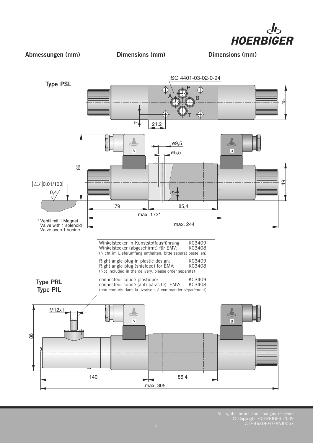

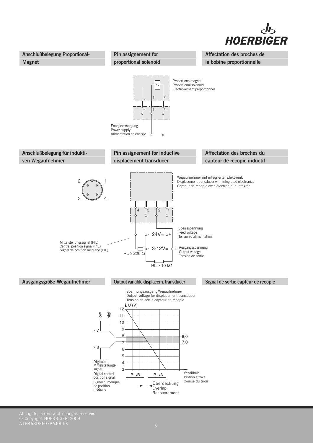



All rights, errors and changes reserved © Copyright HOERBIGER 2009 A1H463DEF07AAJ005X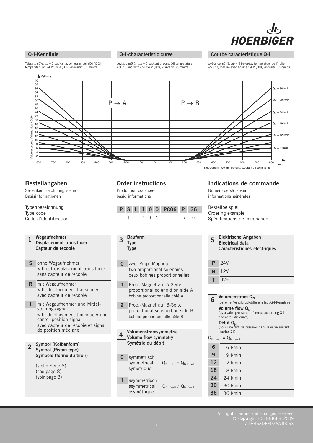

#### **Q-I-Kennlinie**

#### **Q-I-characteristic curve**

deviation $\pm 5$  %,  $\Delta p = 5$  bar/control edge, Oil temperature +50 °C and with coil 24 V (DC), Viskosity 35 mm2/s

#### **Courbe caractéristique Q-I**

tolérance  $\pm 5$  %,  $\Delta p = 5$  bar/arête, température de l'huile +50 °C, mesuré avec bobine 24 V (DC), viscosité 35 mm2/s

Toleranz ±5%, ∆p = 5 bar/Kante, gemessen bei +50 °C Öl-<br>temperatur und 24 V-Spule (DC), Viskosität 35 mm²/s



#### **Bestellangaben**

Serienkennzeichnung siehe Basisinformationen

#### Typenbezeichnung Type code Code d'identification

**Wegaufnehmer Displacement transducer Capteur de recopie 1**

- ohne Wegaufnehmer **S** without displacement transducer sans capteur de recopie
- mit Wegaufnehmer **R** with displacement transducer avec capteur de recopie
- mit Wegaufnehmer und Mittelstellungssignal with displacement transducer and center position signal avec capteur de recopie et signal de position médiane **I**

#### **Symbol (Kolbenform) Symbol (Piston type) Symbole (forme du tiroir) 2**

(siehe Seite 8) (see page 8) (voir page 8)

#### **Order instructions**

Production code see basic informations

|  |  |       | P S L 1 0 0 PC06 P 36 |  |  |
|--|--|-------|-----------------------|--|--|
|  |  | - 231 |                       |  |  |

**Bauform Type Type 3**

- zwei Prop.-Magnete two proportional solenoids deux bobines proportionnelles. **0**
- **1** Prop.-Magnet auf A-Seite proportional solenoid on side A bobine proportionnelle côté A
- **2** Prop.-Magnet auf B-Seite proportional solenoid on side B bobine proportionnelle côté B

#### **Volumenstromsymmetrie Volume flow symmetry Symétrie du débit 4**

- **0** symmetrisch symmetrical  $Q_{N P\rightarrow B} = Q_{N P\rightarrow A}$ symétrique
- **1** asymmetrisch  $Q_{N P \rightarrow B} \neq Q_{N P \rightarrow A}$ asymétrique

#### **Indications de commande**

Numéro de série voir informations générales

Bestellbeispiel Ordering example Spécifications de commande

| 5  | <b>Elektrische Angaben</b><br><b>Flectrical data</b><br>Caracteristiques électriques                                                                                                              |  |  |  |  |  |
|----|---------------------------------------------------------------------------------------------------------------------------------------------------------------------------------------------------|--|--|--|--|--|
| P  | $24V =$                                                                                                                                                                                           |  |  |  |  |  |
| N  | $12V =$                                                                                                                                                                                           |  |  |  |  |  |
| т  | $9V =$                                                                                                                                                                                            |  |  |  |  |  |
|    |                                                                                                                                                                                                   |  |  |  |  |  |
| 6  | Volumenstrom Q <sub>N</sub><br>(bei einer Ventildruckdifferenz laut Q-I-Kennlinie)                                                                                                                |  |  |  |  |  |
|    | Volume flow Q <sub>N</sub><br>(by a valve pressure difference according Q-I-<br>characteristic curve)<br>Débit Q <sub>N</sub><br>(pour une diff. de pression dans la valve suivant<br>courbe Q-I) |  |  |  |  |  |
|    | $Q_{N,P\rightarrow B}=Q_{N,P\rightarrow A}$                                                                                                                                                       |  |  |  |  |  |
| 6  | 6 l/min                                                                                                                                                                                           |  |  |  |  |  |
| 9  | $9$ I/min                                                                                                                                                                                         |  |  |  |  |  |
| 12 | 12 l/min                                                                                                                                                                                          |  |  |  |  |  |
| 18 | 18 l/min                                                                                                                                                                                          |  |  |  |  |  |
| 24 | 24 I/min                                                                                                                                                                                          |  |  |  |  |  |
| 30 | 30 I/min                                                                                                                                                                                          |  |  |  |  |  |
| 36 | 36 I/min                                                                                                                                                                                          |  |  |  |  |  |